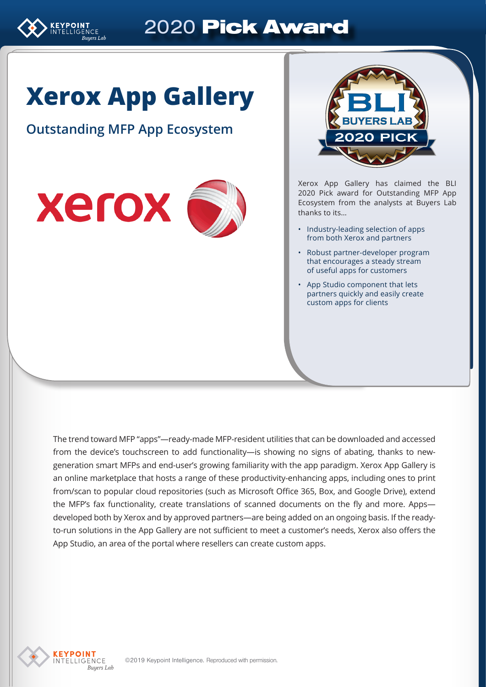

# 2020 Pick Award

# **Xerox App Gallery**

## **Outstanding MFP App Ecosystem**





Xerox App Gallery has claimed the BLI 2020 Pick award for Outstanding MFP App Ecosystem from the analysts at Buyers Lab thanks to its…

- Industry-leading selection of apps from both Xerox and partners
- Robust partner-developer program that encourages a steady stream of useful apps for customers
- App Studio component that lets partners quickly and easily create custom apps for clients

The trend toward MFP "apps"—ready-made MFP-resident utilities that can be downloaded and accessed from the device's touchscreen to add functionality—is showing no signs of abating, thanks to newgeneration smart MFPs and end-user's growing familiarity with the app paradigm. Xerox App Gallery is an online marketplace that hosts a range of these productivity-enhancing apps, including ones to print from/scan to popular cloud repositories (such as Microsoft Office 365, Box, and Google Drive), extend the MFP's fax functionality, create translations of scanned documents on the fly and more. Apps developed both by Xerox and by approved partners—are being added on an ongoing basis. If the readyto-run solutions in the App Gallery are not sufficient to meet a customer's needs, Xerox also offers the App Studio, an area of the portal where resellers can create custom apps.